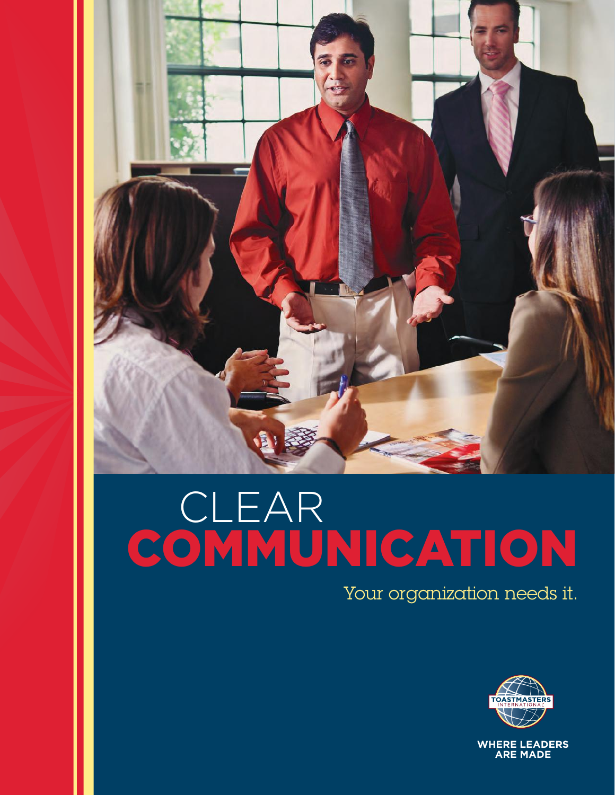

# **CLEAR** COMMUNICATION

Your organization needs it.

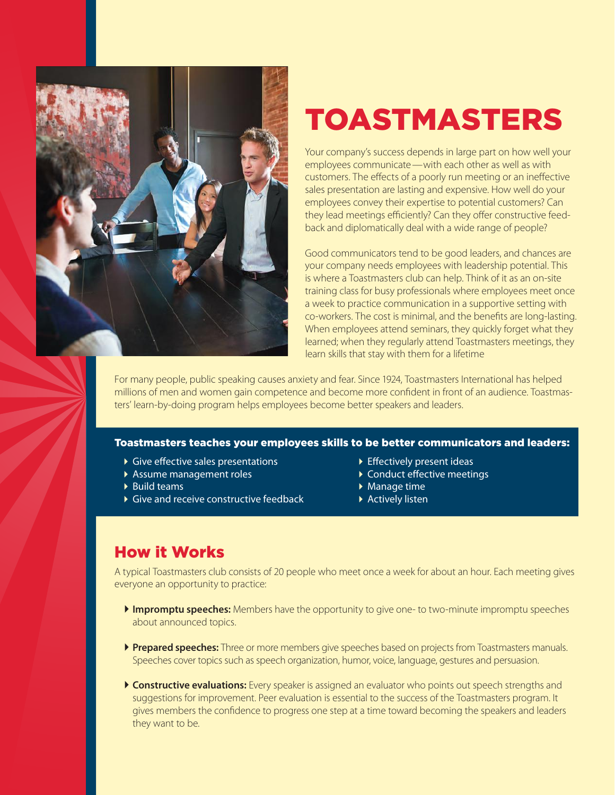

## TOASTMASTERS

Your company's success depends in large part on how well your employees communicate—with each other as well as with customers. The effects of a poorly run meeting or an ineffective sales presentation are lasting and expensive. How well do your employees convey their expertise to potential customers? Can they lead meetings efficiently? Can they offer constructive feedback and diplomatically deal with a wide range of people?

Good communicators tend to be good leaders, and chances are your company needs employees with leadership potential. This is where a Toastmasters club can help. Think of it as an on-site training class for busy professionals where employees meet once a week to practice communication in a supportive setting with co-workers. The cost is minimal, and the benefits are long-lasting. When employees attend seminars, they quickly forget what they learned; when they regularly attend Toastmasters meetings, they learn skills that stay with them for a lifetime

For many people, public speaking causes anxiety and fear. Since 1924, Toastmasters International has helped millions of men and women gain competence and become more confident in front of an audience. Toastmasters' learn-by-doing program helps employees become better speakers and leaders.

#### Toastmasters teaches your employees skills to be better communicators and leaders:

- ▶ Give effective sales presentations
- Assume management roles
- $\blacktriangleright$  Build teams
- Give and receive constructive feedback
- Effectively present ideas
- ▶ Conduct effective meetings
- ▶ Manage time
- Actively listen

### How it Works

A typical Toastmasters club consists of 20 people who meet once a week for about an hour. Each meeting gives everyone an opportunity to practice:

- **Impromptu speeches:** Members have the opportunity to give one- to two-minute impromptu speeches about announced topics.
- **Prepared speeches:** Three or more members give speeches based on projects from Toastmasters manuals. Speeches cover topics such as speech organization, humor, voice, language, gestures and persuasion.
- **Constructive evaluations:** Every speaker is assigned an evaluator who points out speech strengths and suggestions for improvement. Peer evaluation is essential to the success of the Toastmasters program. It gives members the confidence to progress one step at a time toward becoming the speakers and leaders they want to be.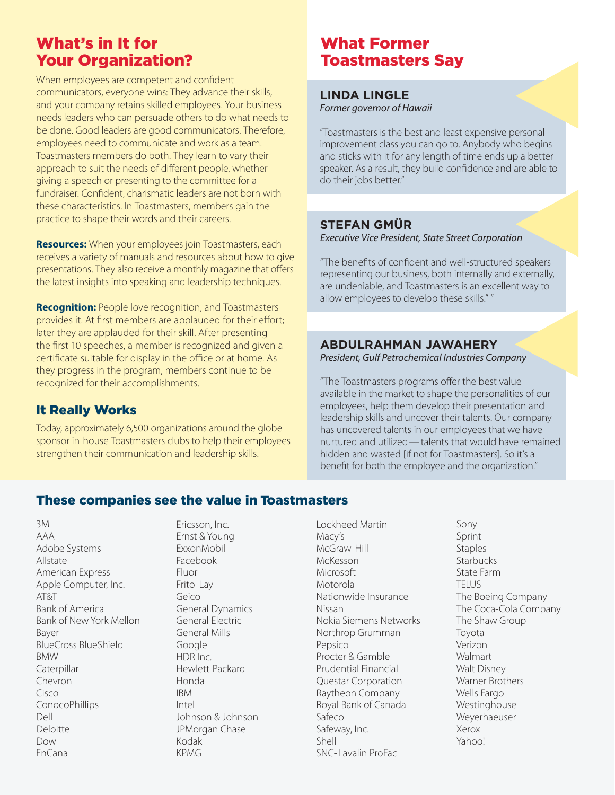## What's in It for Your Organization?

When employees are competent and confident communicators, everyone wins: They advance their skills, and your company retains skilled employees. Your business needs leaders who can persuade others to do what needs to be done. Good leaders are good communicators. Therefore, employees need to communicate and work as a team. Toastmasters members do both. They learn to vary their approach to suit the needs of different people, whether giving a speech or presenting to the committee for a fundraiser. Confident, charismatic leaders are not born with these characteristics. In Toastmasters, members gain the practice to shape their words and their careers.

**Resources:** When your employees join Toastmasters, each receives a variety of manuals and resources about how to give presentations. They also receive a monthly magazine that offers the latest insights into speaking and leadership techniques.

**Recognition:** People love recognition, and Toastmasters provides it. At first members are applauded for their effort; later they are applauded for their skill. After presenting the first 10 speeches, a member is recognized and given a certificate suitable for display in the office or at home. As they progress in the program, members continue to be recognized for their accomplishments.

#### It Really Works

Today, approximately 6,500 organizations around the globe sponsor in-house Toastmasters clubs to help their employees strengthen their communication and leadership skills.

## What Former Toastmasters Say

#### **LINDA LINGLE** Former governor of Hawaii

"Toastmasters is the best and least expensive personal improvement class you can go to. Anybody who begins and sticks with it for any length of time ends up a better speaker. As a result, they build confidence and are able to do their jobs better."

#### **STEFAN GMÜR**

Executive Vice President, State Street Corporation

"The benefits of confident and well-structured speakers representing our business, both internally and externally, are undeniable, and Toastmasters is an excellent way to allow employees to develop these skills." "

#### **ABDULRAHMAN JAWAHERY**

President, Gulf Petrochemical Industries Company

"The Toastmasters programs offer the best value available in the market to shape the personalities of our employees, help them develop their presentation and leadership skills and uncover their talents. Our company has uncovered talents in our employees that we have nurtured and utilized—talents that would have remained hidden and wasted [if not for Toastmasters]. So it's a benefit for both the employee and the organization."

#### These companies see the value in Toastmasters

3M AAA Adobe Systems Allstate American Express Apple Computer, Inc. AT&T Bank of America Bank of New York Mellon Bayer BlueCross BlueShield BMW Caterpillar Chevron Cisco **ConocoPhillips** Dell Deloitte Dow EnCana

Ericsson, Inc. Ernst & Young ExxonMobil Facebook Fluor Frito-Lay Geico General Dynamics General Electric General Mills Google HDR Inc. Hewlett-Packard Honda IBM Intel Johnson & Johnson JPMorgan Chase Kodak KPMG

Lockheed Martin Macy's McGraw-Hill McKesson Microsoft Motorola Nationwide Insurance Nissan Nokia Siemens Networks Northrop Grumman Pepsico Procter & Gamble Prudential Financial Questar Corporation Raytheon Company Royal Bank of Canada Safeco Safeway, Inc. Shell SNC-Lavalin ProFac

Sony Sprint **Staples Starbucks** State Farm TELUS The Boeing Company The Coca-Cola Company The Shaw Group Toyota Verizon Walmart Walt Disney Warner Brothers Wells Fargo Westinghouse Weyerhaeuser Xerox Yahoo!